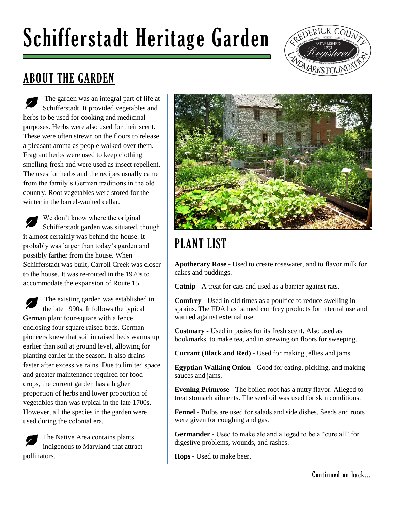## Schifferstadt Heritage Garden



## ABOUT THE GARDEN

The garden was an integral part of life at Schifferstadt. It provided vegetables and herbs to be used for cooking and medicinal purposes. Herbs were also used for their scent. These were often strewn on the floors to release a pleasant aroma as people walked over them. Fragrant herbs were used to keep clothing smelling fresh and were used as insect repellent. The uses for herbs and the recipes usually came from the family's German traditions in the old country. Root vegetables were stored for the winter in the barrel-vaulted cellar.

We don't know where the original Schifferstadt garden was situated, though it almost certainly was behind the house. It probably was larger than today's garden and possibly farther from the house. When Schifferstadt was built, Carroll Creek was closer to the house. It was re-routed in the 1970s to accommodate the expansion of Route 15.

The existing garden was established in the late 1990s. It follows the typical German plan: four-square with a fence enclosing four square raised beds. German pioneers knew that soil in raised beds warms up earlier than soil at ground level, allowing for planting earlier in the season. It also drains faster after excessive rains. Due to limited space and greater maintenance required for food crops, the current garden has a higher proportion of herbs and lower proportion of vegetables than was typical in the late 1700s. However, all the species in the garden were used during the colonial era.

The Native Area contains plants indigenous to Maryland that attract pollinators.



## PLANT LIST

**Apothecary Rose -** Used to create rosewater, and to flavor milk for cakes and puddings.

**Catnip -** A treat for cats and used as a barrier against rats.

**Comfrey -** Used in old times as a poultice to reduce swelling in sprains. The FDA has banned comfrey products for internal use and warned against external use.

**Costmary -** Used in posies for its fresh scent. Also used as bookmarks, to make tea, and in strewing on floors for sweeping.

**Currant (Black and Red) -** Used for making jellies and jams.

**Egyptian Walking Onion -** Good for eating, pickling, and making sauces and jams.

**Evening Primrose -** The boiled root has a nutty flavor. Alleged to treat stomach ailments. The seed oil was used for skin conditions.

**Fennel -** Bulbs are used for salads and side dishes. Seeds and roots were given for coughing and gas.

**Germander -** Used to make ale and alleged to be a "cure all" for digestive problems, wounds, and rashes.

**Hops -** Used to make beer.